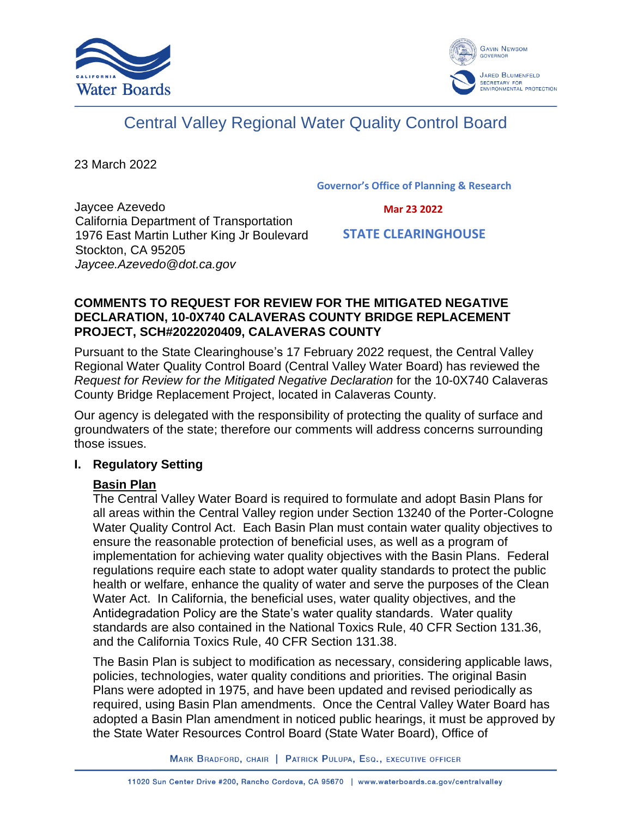



# Central Valley Regional Water Quality Control Board

23 March 2022

**Governor's Office of Planning & Research**

Jaycee Azevedo California Department of Transportation 1976 East Martin Luther King Jr Boulevard Stockton, CA 95205 *Jaycee.Azevedo@dot.ca.gov*

 **Mar 23 2022**

 **STATE CLEARINGHOUSE**

## **COMMENTS TO REQUEST FOR REVIEW FOR THE MITIGATED NEGATIVE DECLARATION, 10-0X740 CALAVERAS COUNTY BRIDGE REPLACEMENT PROJECT, SCH#2022020409, CALAVERAS COUNTY**

Pursuant to the State Clearinghouse's 17 February 2022 request, the Central Valley Regional Water Quality Control Board (Central Valley Water Board) has reviewed the *Request for Review for the Mitigated Negative Declaration* for the 10-0X740 Calaveras County Bridge Replacement Project, located in Calaveras County.

Our agency is delegated with the responsibility of protecting the quality of surface and groundwaters of the state; therefore our comments will address concerns surrounding those issues.

# **I. Regulatory Setting**

# **Basin Plan**

The Central Valley Water Board is required to formulate and adopt Basin Plans for all areas within the Central Valley region under Section 13240 of the Porter-Cologne Water Quality Control Act. Each Basin Plan must contain water quality objectives to ensure the reasonable protection of beneficial uses, as well as a program of implementation for achieving water quality objectives with the Basin Plans. Federal regulations require each state to adopt water quality standards to protect the public health or welfare, enhance the quality of water and serve the purposes of the Clean Water Act. In California, the beneficial uses, water quality objectives, and the Antidegradation Policy are the State's water quality standards. Water quality standards are also contained in the National Toxics Rule, 40 CFR Section 131.36, and the California Toxics Rule, 40 CFR Section 131.38.

The Basin Plan is subject to modification as necessary, considering applicable laws, policies, technologies, water quality conditions and priorities. The original Basin Plans were adopted in 1975, and have been updated and revised periodically as required, using Basin Plan amendments. Once the Central Valley Water Board has adopted a Basin Plan amendment in noticed public hearings, it must be approved by the State Water Resources Control Board (State Water Board), Office of

MARK BRADFORD, CHAIR | PATRICK PULUPA, ESQ., EXECUTIVE OFFICER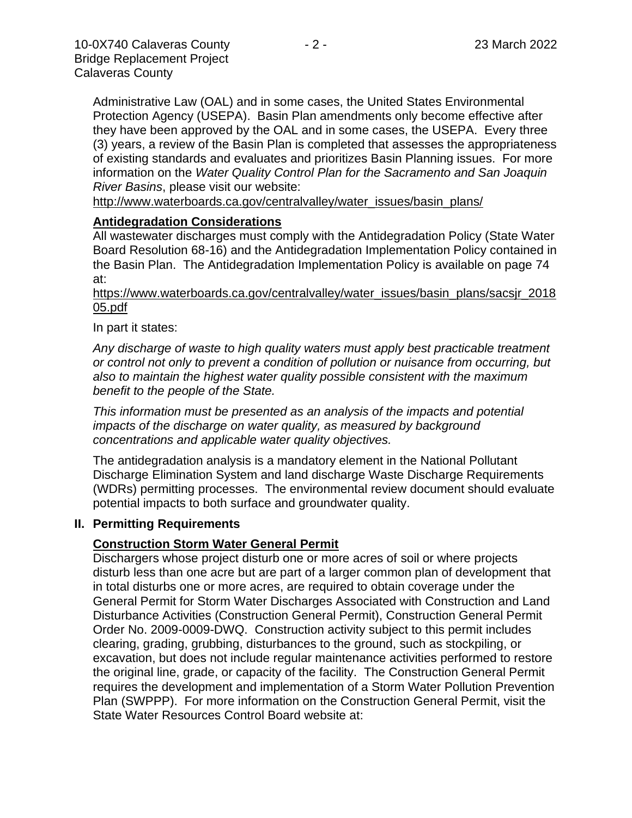Administrative Law (OAL) and in some cases, the United States Environmental Protection Agency (USEPA). Basin Plan amendments only become effective after they have been approved by the OAL and in some cases, the USEPA. Every three (3) years, a review of the Basin Plan is completed that assesses the appropriateness of existing standards and evaluates and prioritizes Basin Planning issues. For more information on the *Water Quality Control Plan for the Sacramento and San Joaquin River Basins*, please visit our website:

[http://www.waterboards.ca.gov/centralvalley/water\\_issues/basin\\_plans/](http://www.waterboards.ca.gov/centralvalley/water_issues/basin_plans/)

#### **Antidegradation Considerations**

All wastewater discharges must comply with the Antidegradation Policy (State Water Board Resolution 68-16) and the Antidegradation Implementation Policy contained in the Basin Plan. The Antidegradation Implementation Policy is available on page 74 at:

#### https://www.waterboards.ca.gov/centralvalley/water\_issues/basin\_plans/sacsjr\_2018 05.pdf

#### In part it states:

*Any discharge of waste to high quality waters must apply best practicable treatment or control not only to prevent a condition of pollution or nuisance from occurring, but also to maintain the highest water quality possible consistent with the maximum benefit to the people of the State.*

*This information must be presented as an analysis of the impacts and potential impacts of the discharge on water quality, as measured by background concentrations and applicable water quality objectives.*

The antidegradation analysis is a mandatory element in the National Pollutant Discharge Elimination System and land discharge Waste Discharge Requirements (WDRs) permitting processes. The environmental review document should evaluate potential impacts to both surface and groundwater quality.

### **II. Permitting Requirements**

### **Construction Storm Water General Permit**

Dischargers whose project disturb one or more acres of soil or where projects disturb less than one acre but are part of a larger common plan of development that in total disturbs one or more acres, are required to obtain coverage under the General Permit for Storm Water Discharges Associated with Construction and Land Disturbance Activities (Construction General Permit), Construction General Permit Order No. 2009-0009-DWQ. Construction activity subject to this permit includes clearing, grading, grubbing, disturbances to the ground, such as stockpiling, or excavation, but does not include regular maintenance activities performed to restore the original line, grade, or capacity of the facility. The Construction General Permit requires the development and implementation of a Storm Water Pollution Prevention Plan (SWPPP). For more information on the Construction General Permit, visit the State Water Resources Control Board website at: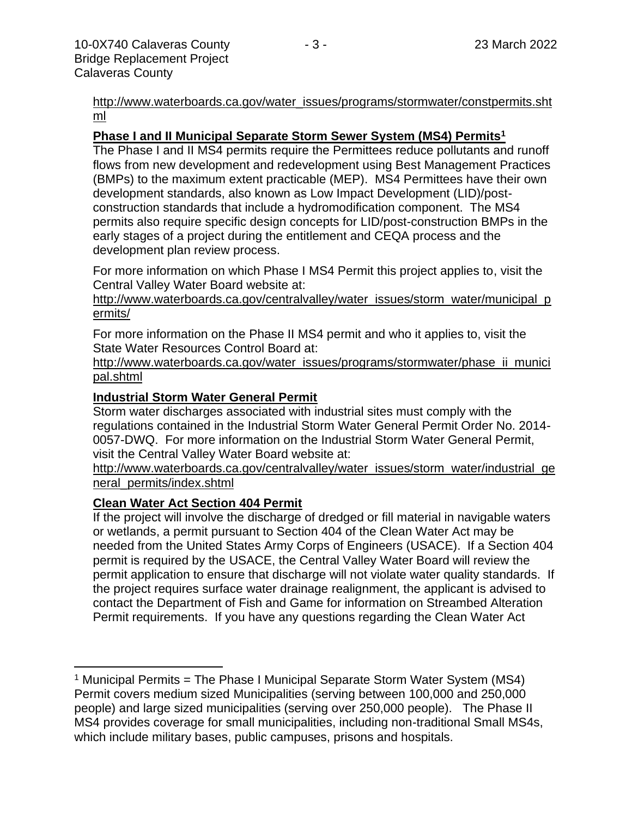[http://www.waterboards.ca.gov/water\\_issues/programs/stormwater/constpermits.sht](http://www.waterboards.ca.gov/water_issues/programs/stormwater/constpermits.shtml) [ml](http://www.waterboards.ca.gov/water_issues/programs/stormwater/constpermits.shtml)

### **Phase I and II Municipal Separate Storm Sewer System (MS4) Permits<sup>1</sup>**

The Phase I and II MS4 permits require the Permittees reduce pollutants and runoff flows from new development and redevelopment using Best Management Practices (BMPs) to the maximum extent practicable (MEP). MS4 Permittees have their own development standards, also known as Low Impact Development (LID)/postconstruction standards that include a hydromodification component. The MS4 permits also require specific design concepts for LID/post-construction BMPs in the early stages of a project during the entitlement and CEQA process and the development plan review process.

For more information on which Phase I MS4 Permit this project applies to, visit the Central Valley Water Board website at:

http://www.waterboards.ca.gov/centralvalley/water\_issues/storm\_water/municipal\_p ermits/

For more information on the Phase II MS4 permit and who it applies to, visit the State Water Resources Control Board at:

http://www.waterboards.ca.gov/water\_issues/programs/stormwater/phase\_ii\_munici pal.shtml

#### **Industrial Storm Water General Permit**

Storm water discharges associated with industrial sites must comply with the regulations contained in the Industrial Storm Water General Permit Order No. 2014- 0057-DWQ. For more information on the Industrial Storm Water General Permit, visit the Central Valley Water Board website at:

http://www.waterboards.ca.gov/centralvalley/water\_issues/storm\_water/industrial\_ge neral\_permits/index.shtml

#### **Clean Water Act Section 404 Permit**

If the project will involve the discharge of dredged or fill material in navigable waters or wetlands, a permit pursuant to Section 404 of the Clean Water Act may be needed from the United States Army Corps of Engineers (USACE). If a Section 404 permit is required by the USACE, the Central Valley Water Board will review the permit application to ensure that discharge will not violate water quality standards. If the project requires surface water drainage realignment, the applicant is advised to contact the Department of Fish and Game for information on Streambed Alteration Permit requirements. If you have any questions regarding the Clean Water Act

<sup>&</sup>lt;sup>1</sup> Municipal Permits = The Phase I Municipal Separate Storm Water System (MS4) Permit covers medium sized Municipalities (serving between 100,000 and 250,000 people) and large sized municipalities (serving over 250,000 people). The Phase II MS4 provides coverage for small municipalities, including non-traditional Small MS4s, which include military bases, public campuses, prisons and hospitals.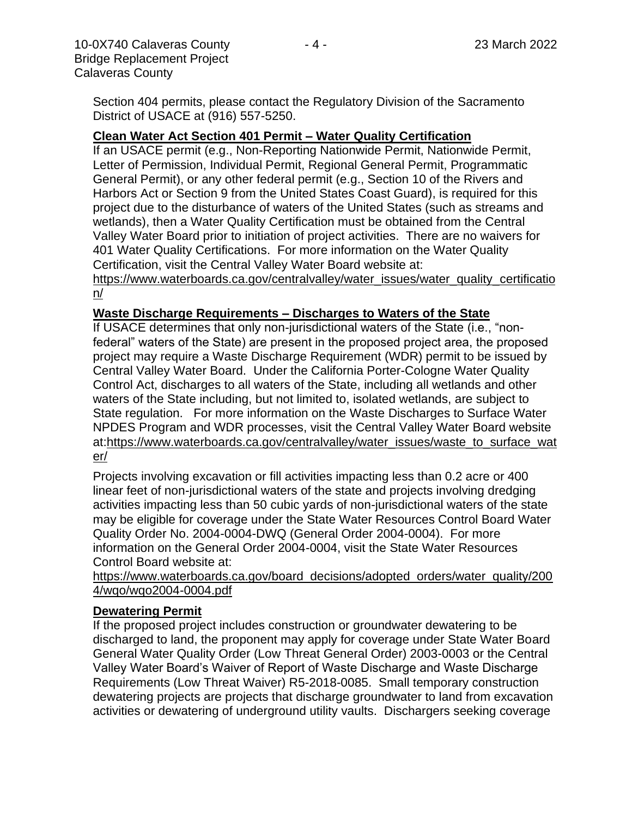Section 404 permits, please contact the Regulatory Division of the Sacramento District of USACE at (916) 557-5250.

#### **Clean Water Act Section 401 Permit – Water Quality Certification**

If an USACE permit (e.g., Non-Reporting Nationwide Permit, Nationwide Permit, Letter of Permission, Individual Permit, Regional General Permit, Programmatic General Permit), or any other federal permit (e.g., Section 10 of the Rivers and Harbors Act or Section 9 from the United States Coast Guard), is required for this project due to the disturbance of waters of the United States (such as streams and wetlands), then a Water Quality Certification must be obtained from the Central Valley Water Board prior to initiation of project activities. There are no waivers for 401 Water Quality Certifications. For more information on the Water Quality Certification, visit the Central Valley Water Board website at:

https://www.waterboards.ca.gov/centralvalley/water\_issues/water\_quality\_certificatio n/

#### **Waste Discharge Requirements – Discharges to Waters of the State**

If USACE determines that only non-jurisdictional waters of the State (i.e., "nonfederal" waters of the State) are present in the proposed project area, the proposed project may require a Waste Discharge Requirement (WDR) permit to be issued by Central Valley Water Board. Under the California Porter-Cologne Water Quality Control Act, discharges to all waters of the State, including all wetlands and other waters of the State including, but not limited to, isolated wetlands, are subject to State regulation. For more information on the Waste Discharges to Surface Water NPDES Program and WDR processes, visit the Central Valley Water Board website at:https://www.waterboards.ca.gov/centralvalley/water\_issues/waste\_to\_surface\_wat er/

Projects involving excavation or fill activities impacting less than 0.2 acre or 400 linear feet of non-jurisdictional waters of the state and projects involving dredging activities impacting less than 50 cubic yards of non-jurisdictional waters of the state may be eligible for coverage under the State Water Resources Control Board Water Quality Order No. 2004-0004-DWQ (General Order 2004-0004). For more information on the General Order 2004-0004, visit the State Water Resources Control Board website at:

https://www.waterboards.ca.gov/board\_decisions/adopted\_orders/water\_quality/200 4/wqo/wqo2004-0004.pdf

#### **Dewatering Permit**

If the proposed project includes construction or groundwater dewatering to be discharged to land, the proponent may apply for coverage under State Water Board General Water Quality Order (Low Threat General Order) 2003-0003 or the Central Valley Water Board's Waiver of Report of Waste Discharge and Waste Discharge Requirements (Low Threat Waiver) R5-2018-0085. Small temporary construction dewatering projects are projects that discharge groundwater to land from excavation activities or dewatering of underground utility vaults. Dischargers seeking coverage